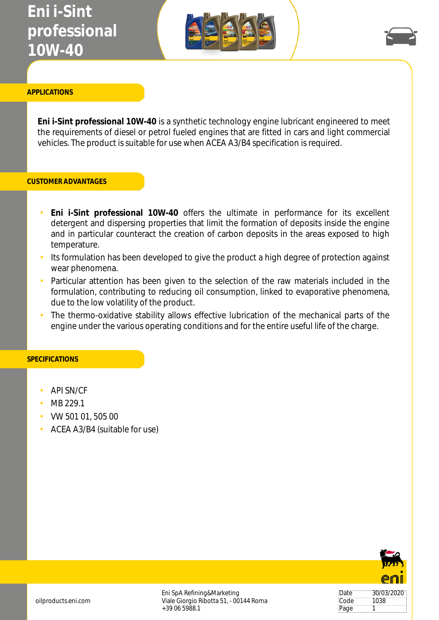## **Eni i-Sint professional 10W-40**



#### **APPLICATIONS**

**Eni i-Sint professional 10W-40** is a synthetic technology engine lubricant engineered to meet the requirements of diesel or petrol fueled engines that are fitted in cars and light commercial vehicles. The product is suitable for use when ACEA A3/B4 specification is required.

### **CUSTOMER ADVANTAGES**

- **Eni i-Sint professional 10W-40** offers the ultimate in performance for its excellent detergent and dispersing properties that limit the formation of deposits inside the engine and in particular counteract the creation of carbon deposits in the areas exposed to high temperature.
- Its formulation has been developed to give the product a high degree of protection against wear phenomena.
- Particular attention has been given to the selection of the raw materials included in the formulation, contributing to reducing oil consumption, linked to evaporative phenomena, due to the low volatility of the product.
- The thermo-oxidative stability allows effective lubrication of the mechanical parts of the engine under the various operating conditions and for the entire useful life of the charge.

### **SPECIFICATIONS**

- API SN/CF
- MB 229.1
- VW 501 01, 505 00
- ACEA A3/B4 (suitable for use)



Date 30/03/2020 Code 1038 Page 1

Eni SpA Refining&Marketing Viale Giorgio Ribotta 51, - 00144 Roma +39 06 5988.1